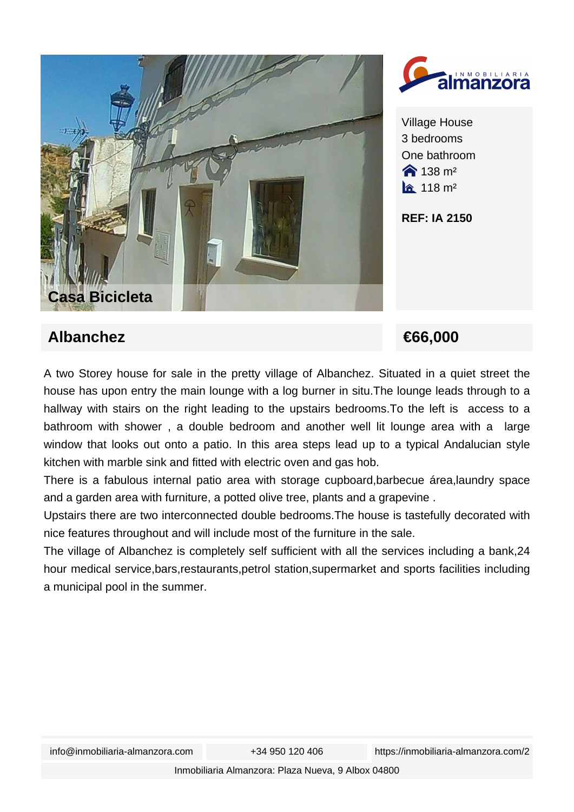



Village House 3 bedrooms One bathroom  $\hat{ }$  138 m<sup>2</sup>  $\hat{a}$  118 m<sup>2</sup>

**REF: IA 2150**

## **Albanchez €66,000**

A two Storey house for sale in the pretty village of Albanchez. Situated in a quiet street the house has upon entry the main lounge with a log burner in situ.The lounge leads through to a hallway with stairs on the right leading to the upstairs bedrooms.To the left is access to a bathroom with shower , a double bedroom and another well lit lounge area with a large window that looks out onto a patio. In this area steps lead up to a typical Andalucian style kitchen with marble sink and fitted with electric oven and gas hob.

There is a fabulous internal patio area with storage cupboard,barbecue área,laundry space and a garden area with furniture, a potted olive tree, plants and a grapevine .

Upstairs there are two interconnected double bedrooms.The house is tastefully decorated with nice features throughout and will include most of the furniture in the sale.

The village of Albanchez is completely self sufficient with all the services including a bank,24 hour medical service,bars,restaurants,petrol station,supermarket and sports facilities including a municipal pool in the summer.